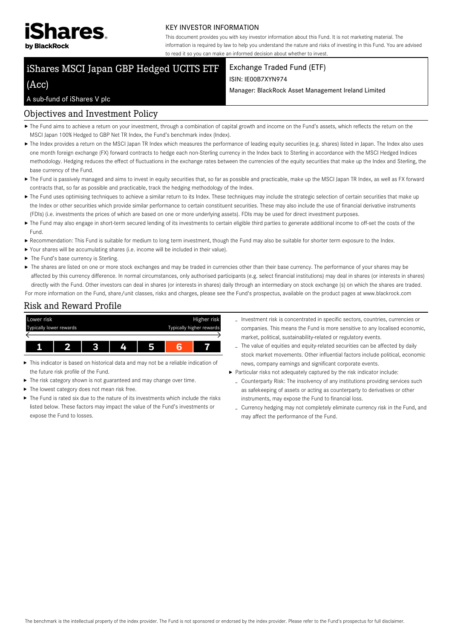

#### KEY INVESTOR INFORMATION

This document provides you with key investor information about this Fund. It is not marketing material. The information is required by law to help you understand the nature and risks of investing in this Fund. You are advised to read it so you can make an informed decision about whether to invest.

# iShares MSCI Japan GBP Hedged UCITS ETF

(Acc)

## Exchange Traded Fund (ETF)

#### ISIN: IE00B7XYN974

Manager: BlackRock Asset Management Ireland Limited

### A sub-fund of iShares V plc

## Objectives and Investment Policy

- ▶ The Fund aims to achieve a return on your investment, through a combination of capital growth and income on the Fund's assets, which reflects the return on the MSCI Japan 100% Hedged to GBP Net TR Index, the Fund's benchmark index (Index).
- ▶ The Index provides a return on the MSCI Japan TR Index which measures the performance of leading equity securities (e.g. shares) listed in Japan. The Index also uses one month foreign exchange (FX) forward contracts to hedge each non-Sterling currency in the Index back to Sterling in accordance with the MSCI Hedged Indices methodology. Hedging reduces the effect of fluctuations in the exchange rates between the currencies of the equity securities that make up the Index and Sterling, the base currency of the Fund.
- ▶ The Fund is passively managed and aims to invest in equity securities that, so far as possible and practicable, make up the MSCI Japan TR Index, as well as FX forward contracts that, so far as possible and practicable, track the hedging methodology of the Index.
- ▶ The Fund uses optimising techniques to achieve a similar return to its Index. These techniques may include the strategic selection of certain securities that make up the Index or other securities which provide similar performance to certain constituent securities. These may also include the use of financial derivative instruments (FDIs) (i.e. investments the prices of which are based on one or more underlying assets). FDIs may be used for direct investment purposes.
- The Fund may also engage in short-term secured lending of its investments to certain eligible third parties to generate additional income to off-set the costs of the Fund.
- Recommendation: This Fund is suitable for medium to long term investment, though the Fund may also be suitable for shorter term exposure to the Index.
- Your shares will be accumulating shares (i.e. income will be included in their value).
- ▶ The Fund's base currency is Sterling.
- ▶ The shares are listed on one or more stock exchanges and may be traded in currencies other than their base currency. The performance of your shares may be affected by this currency difference. In normal circumstances, only authorised participants (e.g. select financial institutions) may deal in shares (or interests in shares) directly with the Fund. Other investors can deal in shares (or interests in shares) daily through an intermediary on stock exchange (s) on which the shares are traded.

For more information on the Fund, share/unit classes, risks and charges, please see the Fund's prospectus, available on the product pages at www.blackrock.com

## Risk and Reward Profile



- This indicator is based on historical data and may not be a reliable indication of the future risk profile of the Fund.
- The risk category shown is not guaranteed and may change over time.
- ▶ The lowest category does not mean risk free.
- ▶ The Fund is rated six due to the nature of its investments which include the risks listed below. These factors may impact the value of the Fund's investments or expose the Fund to losses.
- Investment risk is concentrated in specific sectors, countries, currencies or companies. This means the Fund is more sensitive to any localised economic, market, political, sustainability-related or regulatory events.
- The value of equities and equity-related securities can be affected by daily stock market movements. Other influential factors include political, economic news, company earnings and significant corporate events.
- Particular risks not adequately captured by the risk indicator include:
	- Counterparty Risk: The insolvency of any institutions providing services such as safekeeping of assets or acting as counterparty to derivatives or other instruments, may expose the Fund to financial loss.
	- Currency hedging may not completely eliminate currency risk in the Fund, and may affect the performance of the Fund.